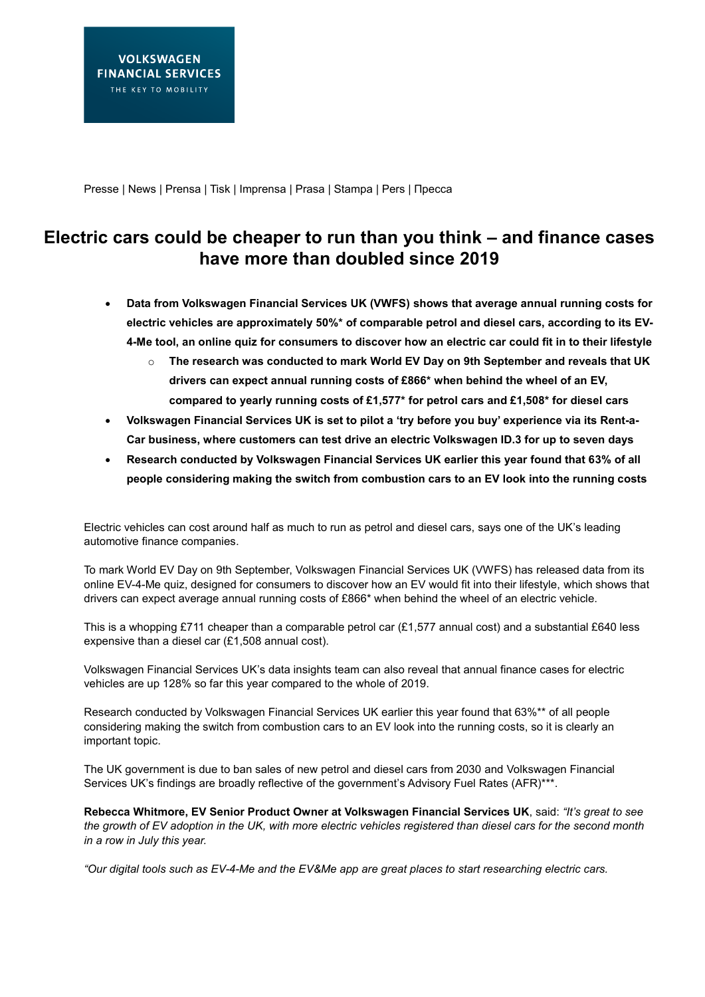Presse | News | Prensa | Tisk | Imprensa | Prasa | Stampa | Pers | Пресса

# **Electric cars could be cheaper to run than you think – and finance cases have more than doubled since 2019**

- **Data from Volkswagen Financial Services UK (VWFS) shows that average annual running costs for electric vehicles are approximately 50%\* of comparable petrol and diesel cars, according to its EV-4-Me tool, an online quiz for consumers to discover how an electric car could fit in to their lifestyle**
	- o **The research was conducted to mark World EV Day on 9th September and reveals that UK drivers can expect annual running costs of £866\* when behind the wheel of an EV, compared to yearly running costs of £1,577\* for petrol cars and £1,508\* for diesel cars**
- **Volkswagen Financial Services UK is set to pilot a 'try before you buy' experience via its Rent-a-Car business, where customers can test drive an electric Volkswagen ID.3 for up to seven days**
- **Research conducted by Volkswagen Financial Services UK earlier this year found that 63% of all people considering making the switch from combustion cars to an EV look into the running costs**

Electric vehicles can cost around half as much to run as petrol and diesel cars, says one of the UK's leading automotive finance companies.

To mark World EV Day on 9th September, Volkswagen Financial Services UK (VWFS) has released data from its online EV-4-Me quiz, designed for consumers to discover how an EV would fit into their lifestyle, which shows that drivers can expect average annual running costs of £866\* when behind the wheel of an electric vehicle.

This is a whopping £711 cheaper than a comparable petrol car (£1,577 annual cost) and a substantial £640 less expensive than a diesel car (£1,508 annual cost).

Volkswagen Financial Services UK's data insights team can also reveal that annual finance cases for electric vehicles are up 128% so far this year compared to the whole of 2019.

Research conducted by Volkswagen Financial Services UK earlier this year found that 63%\*\* of all people considering making the switch from combustion cars to an EV look into the running costs, so it is clearly an important topic.

The UK government is due to ban sales of new petrol and diesel cars from 2030 and Volkswagen Financial Services UK's findings are broadly reflective of the government's Advisory Fuel Rates (AFR)\*\*\*.

**Rebecca Whitmore, EV Senior Product Owner at Volkswagen Financial Services UK**, said: *"It's great to see the growth of EV adoption in the UK, with more electric vehicles registered than diesel cars for the second month in a row in July this year.* 

*"Our digital tools such as EV-4-Me and the EV&Me app are great places to start researching electric cars.*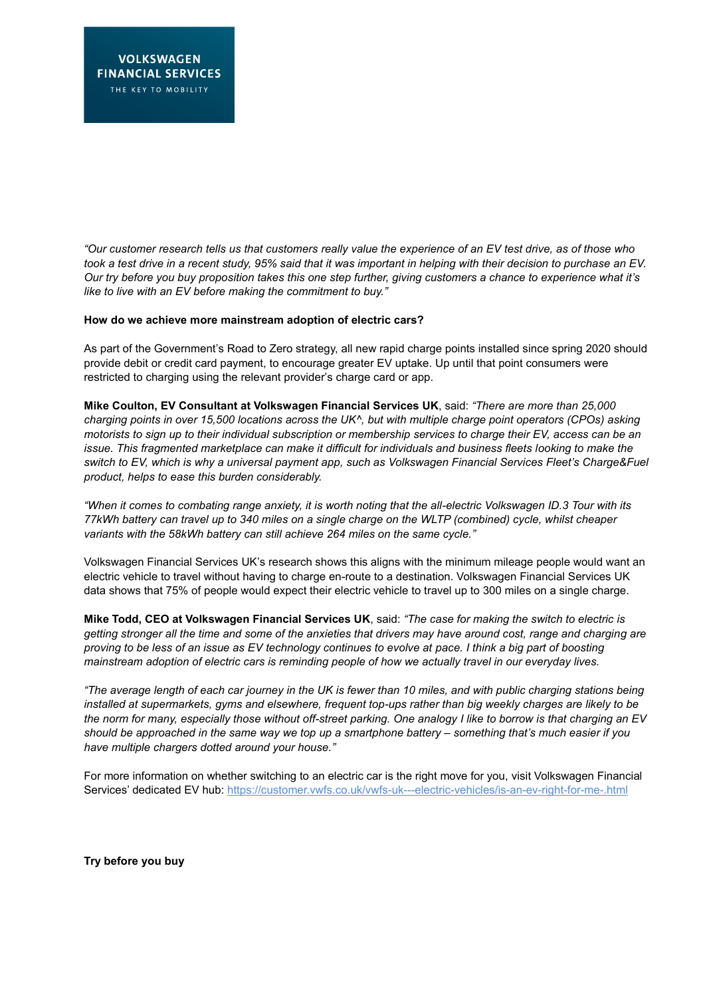*"Our customer research tells us that customers really value the experience of an EV test drive, as of those who took a test drive in a recent study, 95% said that it was important in helping with their decision to purchase an EV. Our try before you buy proposition takes this one step further, giving customers a chance to experience what it's like to live with an EV before making the commitment to buy."*

### **How do we achieve more mainstream adoption of electric cars?**

As part of the Government's Road to Zero strategy, all new rapid charge points installed since spring 2020 should provide debit or credit card payment, to encourage greater EV uptake. Up until that point consumers were restricted to charging using the relevant provider's charge card or app.

**Mike Coulton, EV Consultant at Volkswagen Financial Services UK**, said: *"There are more than 25,000 charging points in over 15,500 locations across the UK^, but with multiple charge point operators (CPOs) asking motorists to sign up to their individual subscription or membership services to charge their EV, access can be an issue. This fragmented marketplace can make it difficult for individuals and business fleets looking to make the switch to EV, which is why a universal payment app, such as Volkswagen Financial Services Fleet's Charge&Fuel product, helps to ease this burden considerably.*

*"When it comes to combating range anxiety, it is worth noting that the all-electric Volkswagen ID.3 Tour with its 77kWh battery can travel up to 340 miles on a single charge on the WLTP (combined) cycle, whilst cheaper variants with the 58kWh battery can still achieve 264 miles on the same cycle."*

Volkswagen Financial Services UK's research shows this aligns with the minimum mileage people would want an electric vehicle to travel without having to charge en-route to a destination. Volkswagen Financial Services UK data shows that 75% of people would expect their electric vehicle to travel up to 300 miles on a single charge.

**Mike Todd, CEO at Volkswagen Financial Services UK**, said: *"The case for making the switch to electric is getting stronger all the time and some of the anxieties that drivers may have around cost, range and charging are proving to be less of an issue as EV technology continues to evolve at pace. I think a big part of boosting mainstream adoption of electric cars is reminding people of how we actually travel in our everyday lives.* 

*"The average length of each car journey in the UK is fewer than 10 miles, and with public charging stations being installed at supermarkets, gyms and elsewhere, frequent top-ups rather than big weekly charges are likely to be the norm for many, especially those without off-street parking. One analogy I like to borrow is that charging an EV should be approached in the same way we top up a smartphone battery – something that's much easier if you have multiple chargers dotted around your house."*

For more information on whether switching to an electric car is the right move for you, visit Volkswagen Financial Services' dedicated EV hub:<https://customer.vwfs.co.uk/vwfs-uk---electric-vehicles/is-an-ev-right-for-me-.html>

**Try before you buy**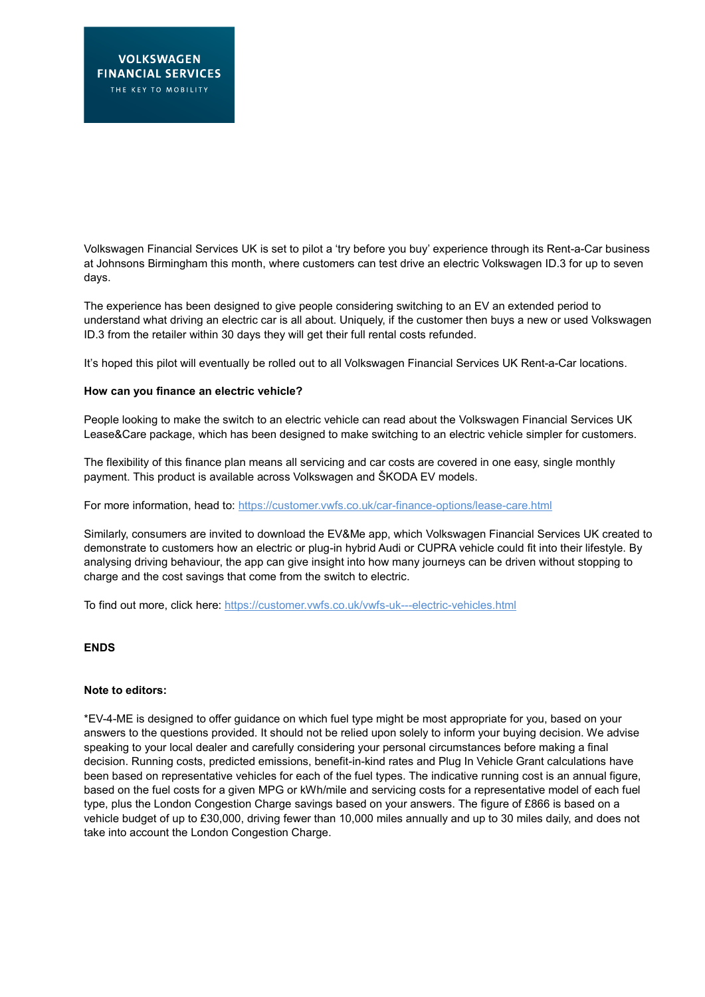Volkswagen Financial Services UK is set to pilot a 'try before you buy' experience through its Rent-a-Car business at Johnsons Birmingham this month, where customers can test drive an electric Volkswagen ID.3 for up to seven days.

The experience has been designed to give people considering switching to an EV an extended period to understand what driving an electric car is all about. Uniquely, if the customer then buys a new or used Volkswagen ID.3 from the retailer within 30 days they will get their full rental costs refunded.

It's hoped this pilot will eventually be rolled out to all Volkswagen Financial Services UK Rent-a-Car locations.

## **How can you finance an electric vehicle?**

People looking to make the switch to an electric vehicle can read about the Volkswagen Financial Services UK Lease&Care package, which has been designed to make switching to an electric vehicle simpler for customers.

The flexibility of this finance plan means all servicing and car costs are covered in one easy, single monthly payment. This product is available across Volkswagen and ŠKODA EV models.

For more information, head to: https://customer.vwfs.co.uk/car-finance-options/lease-care.html

Similarly, consumers are invited to download the EV&Me app, which Volkswagen Financial Services UK created to demonstrate to customers how an electric or plug-in hybrid Audi or CUPRA vehicle could fit into their lifestyle. By analysing driving behaviour, the app can give insight into how many journeys can be driven without stopping to charge and the cost savings that come from the switch to electric.

To find out more, click here[: https://customer.vwfs.co.uk/vwfs-uk---electric-vehicles.html](https://customer.vwfs.co.uk/vwfs-uk---electric-vehicles.html)

#### **ENDS**

#### **Note to editors:**

\*EV-4-ME is designed to offer guidance on which fuel type might be most appropriate for you, based on your answers to the questions provided. It should not be relied upon solely to inform your buying decision. We advise speaking to your local dealer and carefully considering your personal circumstances before making a final decision. Running costs, predicted emissions, benefit-in-kind rates and Plug In Vehicle Grant calculations have been based on representative vehicles for each of the fuel types. The indicative running cost is an annual figure, based on the fuel costs for a given MPG or kWh/mile and servicing costs for a representative model of each fuel type, plus the London Congestion Charge savings based on your answers. The figure of £866 is based on a vehicle budget of up to £30,000, driving fewer than 10,000 miles annually and up to 30 miles daily, and does not take into account the London Congestion Charge.